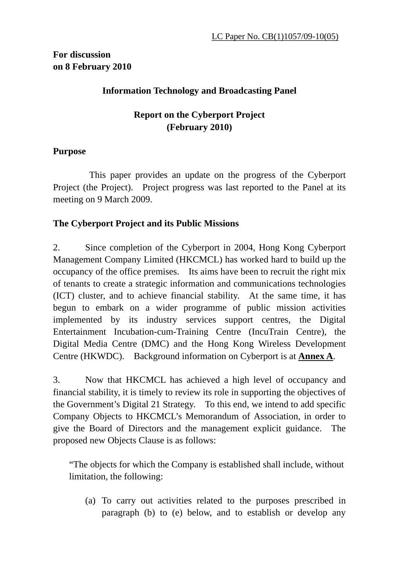# **For discussion on 8 February 2010**

## **Information Technology and Broadcasting Panel**

# **Report on the Cyberport Project (February 2010)**

## **Purpose**

This paper provides an update on the progress of the Cyberport Project (the Project). Project progress was last reported to the Panel at its meeting on 9 March 2009.

## **The Cyberport Project and its Public Missions**

2. Since completion of the Cyberport in 2004, Hong Kong Cyberport Management Company Limited (HKCMCL) has worked hard to build up the occupancy of the office premises. Its aims have been to recruit the right mix of tenants to create a strategic information and communications technologies (ICT) cluster, and to achieve financial stability. At the same time, it has begun to embark on a wider programme of public mission activities implemented by its industry services support centres, the Digital Entertainment Incubation-cum-Training Centre (IncuTrain Centre), the Digital Media Centre (DMC) and the Hong Kong Wireless Development Centre (HKWDC). Background information on Cyberport is at **Annex A**.

3. Now that HKCMCL has achieved a high level of occupancy and financial stability, it is timely to review its role in supporting the objectives of the Government's Digital 21 Strategy. To this end, we intend to add specific Company Objects to HKCMCL's Memorandum of Association, in order to give the Board of Directors and the management explicit guidance. The proposed new Objects Clause is as follows:

"The objects for which the Company is established shall include, without limitation, the following:

(a) To carry out activities related to the purposes prescribed in paragraph (b) to (e) below, and to establish or develop any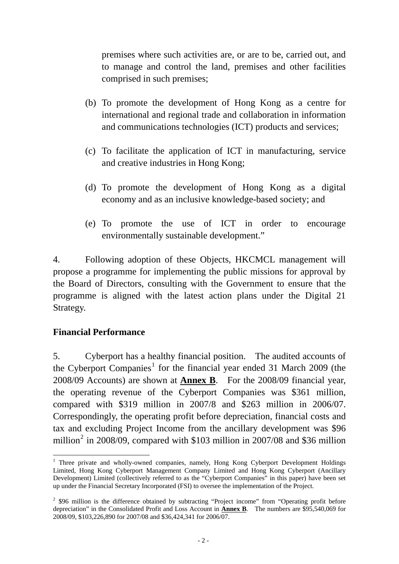premises where such activities are, or are to be, carried out, and to manage and control the land, premises and other facilities comprised in such premises;

- (b) To promote the development of Hong Kong as a centre for international and regional trade and collaboration in information and communications technologies (ICT) products and services;
- (c) To facilitate the application of ICT in manufacturing, service and creative industries in Hong Kong;
- (d) To promote the development of Hong Kong as a digital economy and as an inclusive knowledge-based society; and
- (e) To promote the use of ICT in order to encourage environmentally sustainable development."

4. Following adoption of these Objects, HKCMCL management will propose a programme for implementing the public missions for approval by the Board of Directors, consulting with the Government to ensure that the programme is aligned with the latest action plans under the Digital 21 Strategy.

## **Financial Performance**

5. Cyberport has a healthy financial position. The audited accounts of the Cyberport Companies<sup>[1](#page-1-0)</sup> for the financial year ended 31 March 2009 (the 2008/09 Accounts) are shown at **Annex B**. For the 2008/09 financial year, the operating revenue of the Cyberport Companies was \$361 million, compared with \$319 million in 2007/8 and \$263 million in 2006/07. Correspondingly, the operating profit before depreciation, financial costs and tax and excluding Project Income from the ancillary development was \$96 million<sup>[2](#page-1-1)</sup> in 2008/09, compared with \$103 million in 2007/08 and \$36 million

<span id="page-1-0"></span> $\overline{a}$ <sup>1</sup> Three private and wholly-owned companies, namely, Hong Kong Cyberport Development Holdings Limited, Hong Kong Cyberport Management Company Limited and Hong Kong Cyberport (Ancillary Development) Limited (collectively referred to as the "Cyberport Companies" in this paper) have been set up under the Financial Secretary Incorporated (FSI) to oversee the implementation of the Project.

<span id="page-1-1"></span> $2$  \$96 million is the difference obtained by subtracting "Project income" from "Operating profit before depreciation" in the Consolidated Profit and Loss Account in **Annex B**. The numbers are \$95,540,069 for 2008/09, \$103,226,890 for 2007/08 and \$36,424,341 for 2006/07.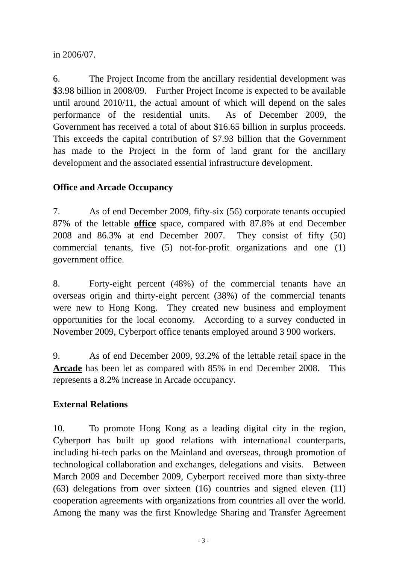in 2006/07.

6. The Project Income from the ancillary residential development was \$3.98 billion in 2008/09. Further Project Income is expected to be available until around 2010/11, the actual amount of which will depend on the sales performance of the residential units. As of December 2009, the Government has received a total of about \$16.65 billion in surplus proceeds. This exceeds the capital contribution of \$7.93 billion that the Government has made to the Project in the form of land grant for the ancillary development and the associated essential infrastructure development.

# **Office and Arcade Occupancy**

7. As of end December 2009, fifty-six (56) corporate tenants occupied 87% of the lettable **office** space, compared with 87.8% at end December 2008 and 86.3% at end December 2007. They consist of fifty (50) commercial tenants, five (5) not-for-profit organizations and one (1) government office.

8. Forty-eight percent (48%) of the commercial tenants have an overseas origin and thirty-eight percent (38%) of the commercial tenants were new to Hong Kong. They created new business and employment opportunities for the local economy. According to a survey conducted in November 2009, Cyberport office tenants employed around 3 900 workers.

9. As of end December 2009, 93.2% of the lettable retail space in the **Arcade** has been let as compared with 85% in end December 2008. This represents a 8.2% increase in Arcade occupancy.

# **External Relations**

10. To promote Hong Kong as a leading digital city in the region, Cyberport has built up good relations with international counterparts, including hi-tech parks on the Mainland and overseas, through promotion of technological collaboration and exchanges, delegations and visits. Between March 2009 and December 2009, Cyberport received more than sixty-three (63) delegations from over sixteen (16) countries and signed eleven (11) cooperation agreements with organizations from countries all over the world. Among the many was the first Knowledge Sharing and Transfer Agreement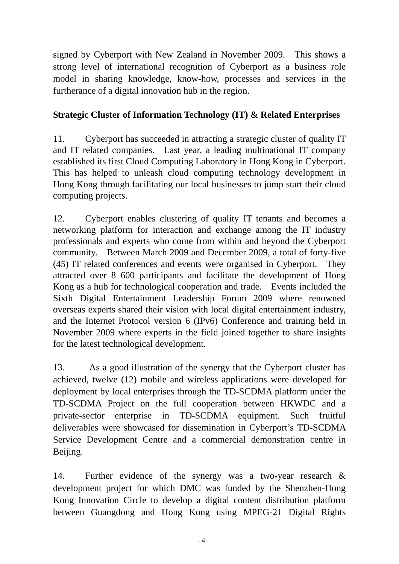signed by Cyberport with New Zealand in November 2009. This shows a strong level of international recognition of Cyberport as a business role model in sharing knowledge, know-how, processes and services in the furtherance of a digital innovation hub in the region.

# **Strategic Cluster of Information Technology (IT) & Related Enterprises**

11. Cyberport has succeeded in attracting a strategic cluster of quality IT and IT related companies. Last year, a leading multinational IT company established its first Cloud Computing Laboratory in Hong Kong in Cyberport. This has helped to unleash cloud computing technology development in Hong Kong through facilitating our local businesses to jump start their cloud computing projects.

12. Cyberport enables clustering of quality IT tenants and becomes a networking platform for interaction and exchange among the IT industry professionals and experts who come from within and beyond the Cyberport community. Between March 2009 and December 2009, a total of forty-five (45) IT related conferences and events were organised in Cyberport. They attracted over 8 600 participants and facilitate the development of Hong Kong as a hub for technological cooperation and trade. Events included the Sixth Digital Entertainment Leadership Forum 2009 where renowned overseas experts shared their vision with local digital entertainment industry, and the Internet Protocol version 6 (IPv6) Conference and training held in November 2009 where experts in the field joined together to share insights for the latest technological development.

13. As a good illustration of the synergy that the Cyberport cluster has achieved, twelve (12) mobile and wireless applications were developed for deployment by local enterprises through the TD-SCDMA platform under the TD-SCDMA Project on the full cooperation between HKWDC and a private-sector enterprise in TD-SCDMA equipment. Such fruitful deliverables were showcased for dissemination in Cyberport's TD-SCDMA Service Development Centre and a commercial demonstration centre in Beijing.

14. Further evidence of the synergy was a two-year research & development project for which DMC was funded by the Shenzhen-Hong Kong Innovation Circle to develop a digital content distribution platform between Guangdong and Hong Kong using MPEG-21 Digital Rights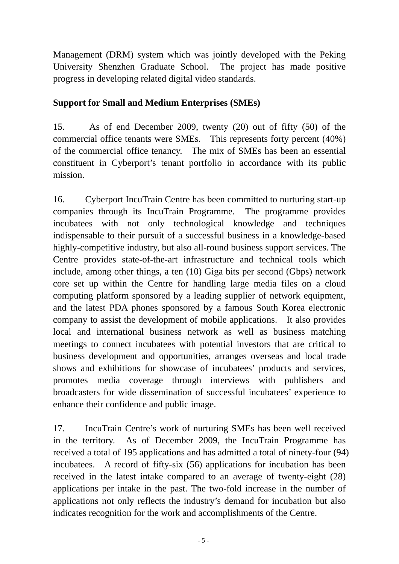Management (DRM) system which was jointly developed with the Peking University Shenzhen Graduate School. The project has made positive progress in developing related digital video standards.

## **Support for Small and Medium Enterprises (SMEs)**

15. As of end December 2009, twenty (20) out of fifty (50) of the commercial office tenants were SMEs. This represents forty percent (40%) of the commercial office tenancy. The mix of SMEs has been an essential constituent in Cyberport's tenant portfolio in accordance with its public mission.

16. Cyberport IncuTrain Centre has been committed to nurturing start-up companies through its IncuTrain Programme. The programme provides incubatees with not only technological knowledge and techniques indispensable to their pursuit of a successful business in a knowledge-based highly-competitive industry, but also all-round business support services. The Centre provides state-of-the-art infrastructure and technical tools which include, among other things, a ten (10) Giga bits per second (Gbps) network core set up within the Centre for handling large media files on a cloud computing platform sponsored by a leading supplier of network equipment, and the latest PDA phones sponsored by a famous South Korea electronic company to assist the development of mobile applications. It also provides local and international business network as well as business matching meetings to connect incubatees with potential investors that are critical to business development and opportunities, arranges overseas and local trade shows and exhibitions for showcase of incubatees' products and services, promotes media coverage through interviews with publishers and broadcasters for wide dissemination of successful incubatees' experience to enhance their confidence and public image.

17. IncuTrain Centre's work of nurturing SMEs has been well received in the territory. As of December 2009, the IncuTrain Programme has received a total of 195 applications and has admitted a total of ninety-four (94) incubatees. A record of fifty-six (56) applications for incubation has been received in the latest intake compared to an average of twenty-eight (28) applications per intake in the past. The two-fold increase in the number of applications not only reflects the industry's demand for incubation but also indicates recognition for the work and accomplishments of the Centre.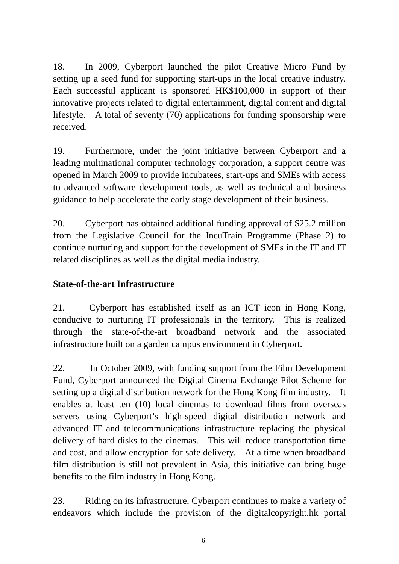18. In 2009, Cyberport launched the pilot Creative Micro Fund by setting up a seed fund for supporting start-ups in the local creative industry. Each successful applicant is sponsored HK\$100,000 in support of their innovative projects related to digital entertainment, digital content and digital lifestyle. A total of seventy (70) applications for funding sponsorship were received.

19. Furthermore, under the joint initiative between Cyberport and a leading multinational computer technology corporation, a support centre was opened in March 2009 to provide incubatees, start-ups and SMEs with access to advanced software development tools, as well as technical and business guidance to help accelerate the early stage development of their business.

20. Cyberport has obtained additional funding approval of \$25.2 million from the Legislative Council for the IncuTrain Programme (Phase 2) to continue nurturing and support for the development of SMEs in the IT and IT related disciplines as well as the digital media industry.

# **State-of-the-art Infrastructure**

21. Cyberport has established itself as an ICT icon in Hong Kong, conducive to nurturing IT professionals in the territory. This is realized through the state-of-the-art broadband network and the associated infrastructure built on a garden campus environment in Cyberport.

22. In October 2009, with funding support from the Film Development Fund, Cyberport announced the Digital Cinema Exchange Pilot Scheme for setting up a digital distribution network for the Hong Kong film industry. It enables at least ten (10) local cinemas to download films from overseas servers using Cyberport's high-speed digital distribution network and advanced IT and telecommunications infrastructure replacing the physical delivery of hard disks to the cinemas. This will reduce transportation time and cost, and allow encryption for safe delivery. At a time when broadband film distribution is still not prevalent in Asia, this initiative can bring huge benefits to the film industry in Hong Kong.

23. Riding on its infrastructure, Cyberport continues to make a variety of endeavors which include the provision of the digitalcopyright.hk portal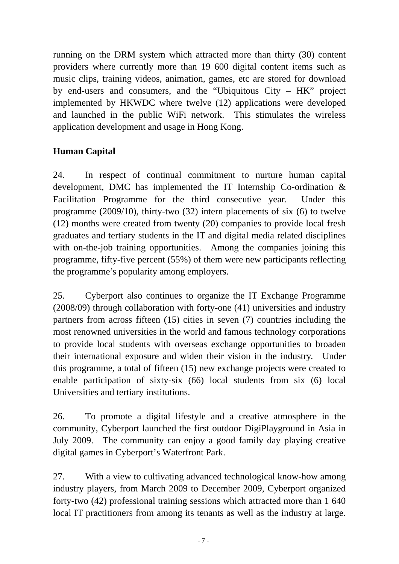running on the DRM system which attracted more than thirty (30) content providers where currently more than 19 600 digital content items such as music clips, training videos, animation, games, etc are stored for download by end-users and consumers, and the "Ubiquitous City – HK" project implemented by HKWDC where twelve (12) applications were developed and launched in the public WiFi network. This stimulates the wireless application development and usage in Hong Kong.

# **Human Capital**

24. In respect of continual commitment to nurture human capital development, DMC has implemented the IT Internship Co-ordination & Facilitation Programme for the third consecutive year. Under this programme (2009/10), thirty-two (32) intern placements of six (6) to twelve (12) months were created from twenty (20) companies to provide local fresh graduates and tertiary students in the IT and digital media related disciplines with on-the-job training opportunities. Among the companies joining this programme, fifty-five percent (55%) of them were new participants reflecting the programme's popularity among employers.

25. Cyberport also continues to organize the IT Exchange Programme (2008/09) through collaboration with forty-one (41) universities and industry partners from across fifteen (15) cities in seven (7) countries including the most renowned universities in the world and famous technology corporations to provide local students with overseas exchange opportunities to broaden their international exposure and widen their vision in the industry. Under this programme, a total of fifteen (15) new exchange projects were created to enable participation of sixty-six (66) local students from six (6) local Universities and tertiary institutions.

26. To promote a digital lifestyle and a creative atmosphere in the community, Cyberport launched the first outdoor DigiPlayground in Asia in July 2009. The community can enjoy a good family day playing creative digital games in Cyberport's Waterfront Park.

27. With a view to cultivating advanced technological know-how among industry players, from March 2009 to December 2009, Cyberport organized forty-two (42) professional training sessions which attracted more than 1 640 local IT practitioners from among its tenants as well as the industry at large.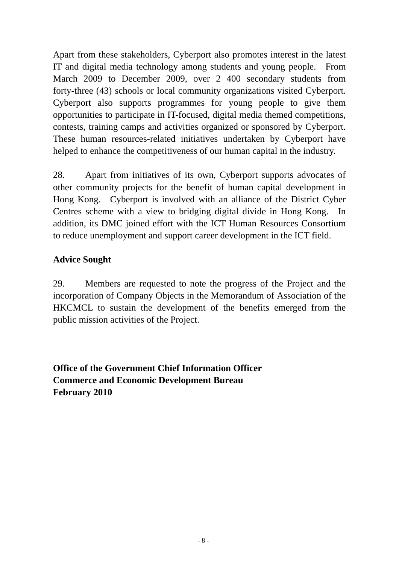Apart from these stakeholders, Cyberport also promotes interest in the latest IT and digital media technology among students and young people. From March 2009 to December 2009, over 2 400 secondary students from forty-three (43) schools or local community organizations visited Cyberport. Cyberport also supports programmes for young people to give them opportunities to participate in IT-focused, digital media themed competitions, contests, training camps and activities organized or sponsored by Cyberport. These human resources-related initiatives undertaken by Cyberport have helped to enhance the competitiveness of our human capital in the industry.

28. Apart from initiatives of its own, Cyberport supports advocates of other community projects for the benefit of human capital development in Hong Kong. Cyberport is involved with an alliance of the District Cyber Centres scheme with a view to bridging digital divide in Hong Kong. In addition, its DMC joined effort with the ICT Human Resources Consortium to reduce unemployment and support career development in the ICT field.

# **Advice Sought**

29. Members are requested to note the progress of the Project and the incorporation of Company Objects in the Memorandum of Association of the HKCMCL to sustain the development of the benefits emerged from the public mission activities of the Project.

**Office of the Government Chief Information Officer Commerce and Economic Development Bureau February 2010**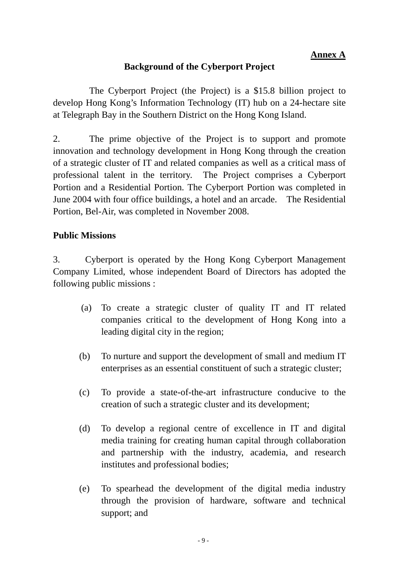# **Background of the Cyberport Project**

 The Cyberport Project (the Project) is a \$15.8 billion project to develop Hong Kong's Information Technology (IT) hub on a 24-hectare site at Telegraph Bay in the Southern District on the Hong Kong Island.

2. The prime objective of the Project is to support and promote innovation and technology development in Hong Kong through the creation of a strategic cluster of IT and related companies as well as a critical mass of professional talent in the territory. The Project comprises a Cyberport Portion and a Residential Portion. The Cyberport Portion was completed in June 2004 with four office buildings, a hotel and an arcade. The Residential Portion, Bel-Air, was completed in November 2008.

# **Public Missions**

3. Cyberport is operated by the Hong Kong Cyberport Management Company Limited, whose independent Board of Directors has adopted the following public missions :

- (a) To create a strategic cluster of quality IT and IT related companies critical to the development of Hong Kong into a leading digital city in the region;
- (b) To nurture and support the development of small and medium IT enterprises as an essential constituent of such a strategic cluster;
- (c) To provide a state-of-the-art infrastructure conducive to the creation of such a strategic cluster and its development;
- (d) To develop a regional centre of excellence in IT and digital media training for creating human capital through collaboration and partnership with the industry, academia, and research institutes and professional bodies;
- (e) To spearhead the development of the digital media industry through the provision of hardware, software and technical support; and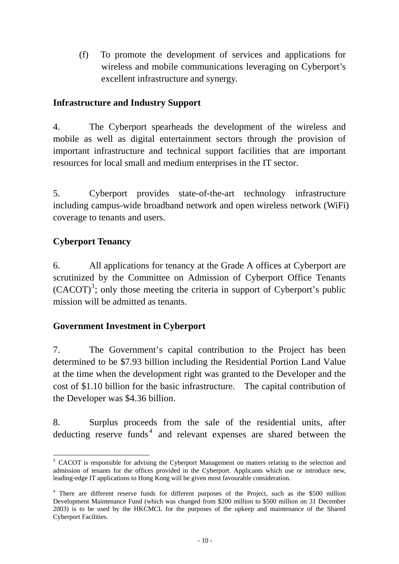(f) To promote the development of services and applications for wireless and mobile communications leveraging on Cyberport's excellent infrastructure and synergy.

## **Infrastructure and Industry Support**

4. The Cyberport spearheads the development of the wireless and mobile as well as digital entertainment sectors through the provision of important infrastructure and technical support facilities that are important resources for local small and medium enterprises in the IT sector.

5. Cyberport provides state-of-the-art technology infrastructure including campus-wide broadband network and open wireless network (WiFi) coverage to tenants and users.

# **Cyberport Tenancy**

6. All applications for tenancy at the Grade A offices at Cyberport are scrutinized by the Committee on Admission of Cyberport Office Tenants  $(CACOT)^3$  $(CACOT)^3$ ; only those meeting the criteria in support of Cyberport's public mission will be admitted as tenants.

## **Government Investment in Cyberport**

7. The Government's capital contribution to the Project has been determined to be \$7.93 billion including the Residential Portion Land Value at the time when the development right was granted to the Developer and the cost of \$1.10 billion for the basic infrastructure. The capital contribution of the Developer was \$4.36 billion.

8. Surplus proceeds from the sale of the residential units, after deducting reserve funds<sup>[4](#page-9-1)</sup> and relevant expenses are shared between the

<span id="page-9-0"></span> $\overline{a}$ <sup>3</sup> CACOT is responsible for advising the Cyberport Management on matters relating to the selection and admission of tenants for the offices provided in the Cyberport. Applicants which use or introduce new, leading-edge IT applications to Hong Kong will be given most favourable consideration.

<span id="page-9-1"></span><sup>&</sup>lt;sup>4</sup> There are different reserve funds for different purposes of the Project, such as the \$500 million Development Maintenance Fund (which was changed from \$200 million to \$500 million on 31 December 2003) is to be used by the HKCMCL for the purposes of the upkeep and maintenance of the Shared Cyberport Facilities.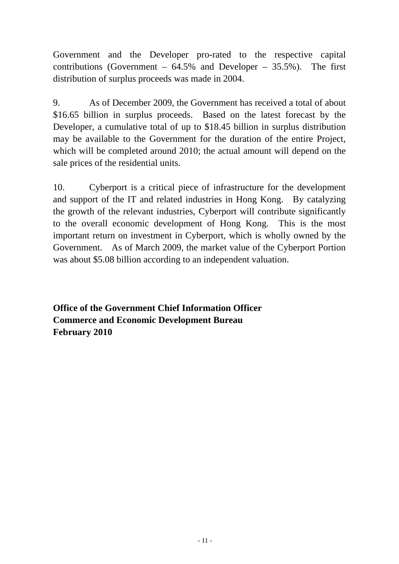Government and the Developer pro-rated to the respective capital contributions (Government –  $64.5\%$  and Developer –  $35.5\%$ ). The first distribution of surplus proceeds was made in 2004.

9. As of December 2009, the Government has received a total of about \$16.65 billion in surplus proceeds. Based on the latest forecast by the Developer, a cumulative total of up to \$18.45 billion in surplus distribution may be available to the Government for the duration of the entire Project, which will be completed around 2010; the actual amount will depend on the sale prices of the residential units.

10. Cyberport is a critical piece of infrastructure for the development and support of the IT and related industries in Hong Kong. By catalyzing the growth of the relevant industries, Cyberport will contribute significantly to the overall economic development of Hong Kong. This is the most important return on investment in Cyberport, which is wholly owned by the Government. As of March 2009, the market value of the Cyberport Portion was about \$5.08 billion according to an independent valuation.

**Office of the Government Chief Information Officer Commerce and Economic Development Bureau February 2010**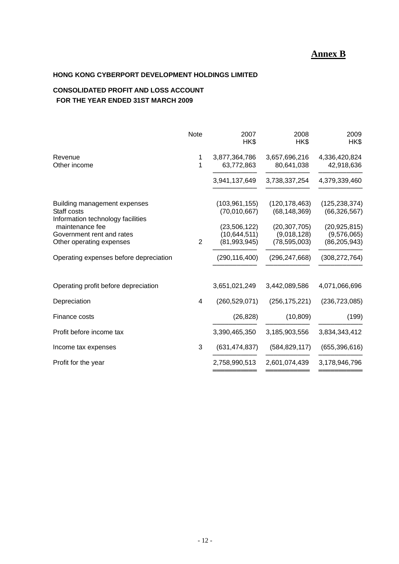## **Annex B**

### **HONG KONG CYBERPORT DEVELOPMENT HOLDINGS LIMITED**

### **CONSOLIDATED PROFIT AND LOSS ACCOUNT FOR THE YEAR ENDED 31ST MARCH 2009**

|                                                                                                                                  | Note           | 2007<br>HK\$                                                      | 2008<br>HK\$                                                       | 2009<br>HK\$                                                       |
|----------------------------------------------------------------------------------------------------------------------------------|----------------|-------------------------------------------------------------------|--------------------------------------------------------------------|--------------------------------------------------------------------|
| Revenue<br>Other income                                                                                                          | 1<br>1         | 3,877,364,786<br>63,772,863                                       | 3,657,696,216<br>80,641,038                                        | 4,336,420,824<br>42,918,636                                        |
|                                                                                                                                  |                | 3,941,137,649                                                     | 3,738,337,254                                                      | 4,379,339,460                                                      |
| Building management expenses<br>Staff costs<br>Information technology facilities<br>maintenance fee<br>Government rent and rates |                | (103, 961, 155)<br>(70,010,667)<br>(23,506,122)<br>(10, 644, 511) | (120, 178, 463)<br>(68, 148, 369)<br>(20, 307, 705)<br>(9,018,128) | (125, 238, 374)<br>(66, 326, 567)<br>(20, 925, 815)<br>(9,576,065) |
| Other operating expenses                                                                                                         | $\overline{2}$ | (81,993,945)                                                      | (78, 595, 003)                                                     | (86, 205, 943)                                                     |
| Operating expenses before depreciation                                                                                           |                | (290, 116, 400)                                                   | (296, 247, 668)                                                    | (308, 272, 764)                                                    |
| Operating profit before depreciation                                                                                             |                | 3,651,021,249                                                     | 3,442,089,586                                                      | 4,071,066,696                                                      |
| Depreciation                                                                                                                     | 4              | (260, 529, 071)                                                   | (256, 175, 221)                                                    | (236, 723, 085)                                                    |
| Finance costs                                                                                                                    |                | (26, 828)                                                         | (10, 809)                                                          | (199)                                                              |
| Profit before income tax                                                                                                         |                | 3,390,465,350                                                     | 3,185,903,556                                                      | 3,834,343,412                                                      |
| Income tax expenses                                                                                                              | 3              | (631, 474, 837)                                                   | (584, 829, 117)                                                    | (655, 396, 616)                                                    |
| Profit for the year                                                                                                              |                | 2,758,990,513                                                     | 2,601,074,439                                                      | 3,178,946,796                                                      |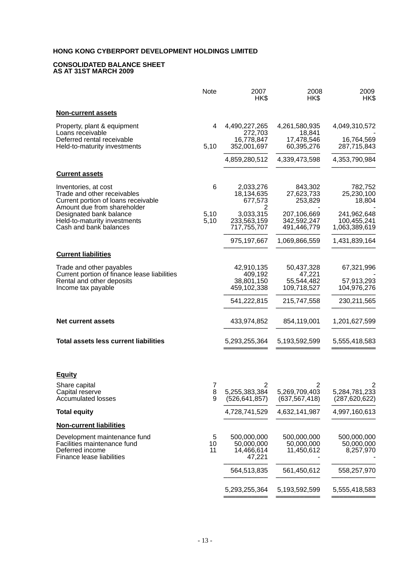#### **CONSOLIDATED BALANCE SHEET AS AT 31ST MARCH 2009**

|                                                                                                                           | Note          | 2007<br>HK\$                                      | 2008<br>HK\$                                       | 2009<br>HK\$                                |
|---------------------------------------------------------------------------------------------------------------------------|---------------|---------------------------------------------------|----------------------------------------------------|---------------------------------------------|
| <b>Non-current assets</b>                                                                                                 |               |                                                   |                                                    |                                             |
| Property, plant & equipment<br>Loans receivable<br>Deferred rental receivable                                             | 4             | 4,490,227,265<br>272,703<br>16,778,847            | 4,261,580,935<br>18,841<br>17,478,546              | 4,049,310,572<br>16,764,569                 |
| Held-to-maturity investments                                                                                              | 5,10          | 352,001,697                                       | 60,395,276                                         | 287,715,843                                 |
|                                                                                                                           |               | 4,859,280,512                                     | 4,339,473,598                                      | 4,353,790,984                               |
| <b>Current assets</b>                                                                                                     |               |                                                   |                                                    |                                             |
| Inventories, at cost<br>Trade and other receivables<br>Current portion of loans receivable<br>Amount due from shareholder | 6             | 2,033,276<br>18,134,635<br>677,573<br>2           | 843,302<br>27,623,733<br>253,829                   | 782,752<br>25,230,100<br>18,804             |
| Designated bank balance<br>Held-to-maturity investments<br>Cash and bank balances                                         | 5,10<br>5,10  | 3,033,315<br>233,563,159<br>717,755,707           | 207,106,669<br>342,592,247<br>491,446,779          | 241,962,648<br>100,455,241<br>1,063,389,619 |
|                                                                                                                           |               | 975, 197, 667                                     | 1,069,866,559                                      | 1,431,839,164                               |
| <b>Current liabilities</b>                                                                                                |               |                                                   |                                                    |                                             |
| Trade and other payables                                                                                                  |               | 42,910,135                                        | 50,437,328<br>47,221                               | 67,321,996                                  |
| Current portion of finance lease liabilities<br>Rental and other deposits<br>Income tax payable                           |               | 409,192<br>38,801,150<br>459,102,338              | 55,544,482<br>109,718,527                          | 57,913,293<br>104,976,276                   |
|                                                                                                                           |               | 541,222,815                                       | 215,747,558                                        | 230,211,565                                 |
| <b>Net current assets</b>                                                                                                 |               | 433,974,852                                       | 854,119,001                                        | 1,201,627,599                               |
| Total assets less current liabilities                                                                                     |               | 5,293,255,364                                     | 5,193,592,599                                      | 5,555,418,583                               |
| <b>Equity</b>                                                                                                             |               |                                                   |                                                    |                                             |
| Share capital<br>Capital reserve<br><b>Accumulated losses</b>                                                             | 7<br>8<br>9   | $\overline{c}$<br>5,255,383,384<br>(526,641,857)  | $\overline{2}$<br>5,269,709,403<br>(637, 567, 418) | 2<br>5,284,781,233<br>(287, 620, 622)       |
| <b>Total equity</b>                                                                                                       |               | 4,728,741,529                                     | 4,632,141,987                                      | 4,997,160,613                               |
| <b>Non-current liabilities</b>                                                                                            |               |                                                   |                                                    |                                             |
| Development maintenance fund<br>Facilities maintenance fund<br>Deferred income<br>Finance lease liabilities               | 5<br>10<br>11 | 500,000,000<br>50,000,000<br>14,466,614<br>47,221 | 500,000,000<br>50,000,000<br>11,450,612            | 500,000,000<br>50,000,000<br>8,257,970      |
|                                                                                                                           |               | 564,513,835                                       | 561,450,612                                        | 558,257,970                                 |
|                                                                                                                           |               | 5,293,255,364                                     | 5,193,592,599                                      | 5,555,418,583                               |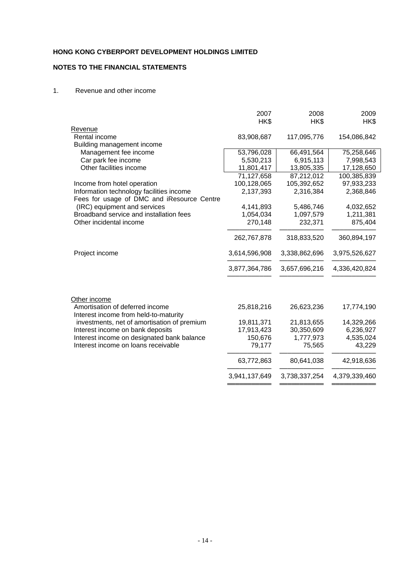### **NOTES TO THE FINANCIAL STATEMENTS**

#### 1. Revenue and other income

|                                                                          | 2007          | 2008          | 2009          |
|--------------------------------------------------------------------------|---------------|---------------|---------------|
|                                                                          | HK\$          | HK\$          | HK\$          |
| Revenue                                                                  |               |               |               |
| Rental income                                                            | 83,908,687    | 117,095,776   | 154,086,842   |
| Building management income                                               |               |               |               |
| Management fee income                                                    | 53,796,028    | 66,491,564    | 75,258,646    |
| Car park fee income                                                      | 5,530,213     | 6,915,113     | 7,998,543     |
| Other facilities income                                                  | 11,801,417    | 13,805,335    | 17,128,650    |
|                                                                          | 71,127,658    | 87,212,012    | 100,385,839   |
| Income from hotel operation                                              | 100,128,065   | 105,392,652   | 97,933,233    |
| Information technology facilities income                                 | 2,137,393     | 2,316,384     | 2,368,846     |
| Fees for usage of DMC and iResource Centre                               |               |               |               |
| (IRC) equipment and services                                             | 4,141,893     | 5,486,746     | 4,032,652     |
| Broadband service and installation fees                                  | 1,054,034     | 1,097,579     | 1,211,381     |
| Other incidental income                                                  | 270,148       | 232,371       | 875,404       |
|                                                                          | 262,767,878   | 318,833,520   | 360,894,197   |
| Project income                                                           | 3,614,596,908 | 3,338,862,696 | 3,975,526,627 |
|                                                                          | 3,877,364,786 | 3,657,696,216 | 4,336,420,824 |
| Other income                                                             |               |               |               |
| Amortisation of deferred income<br>Interest income from held-to-maturity | 25,818,216    | 26,623,236    | 17,774,190    |
| investments, net of amortisation of premium                              | 19,811,371    | 21,813,655    | 14,329,266    |
| Interest income on bank deposits                                         | 17,913,423    | 30,350,609    | 6,236,927     |
| Interest income on designated bank balance                               | 150,676       | 1,777,973     | 4,535,024     |
| Interest income on loans receivable                                      | 79,177        | 75,565        | 43,229        |
|                                                                          | 63,772,863    | 80,641,038    | 42,918,636    |
|                                                                          | 3,941,137,649 | 3,738,337,254 | 4,379,339,460 |
|                                                                          |               |               |               |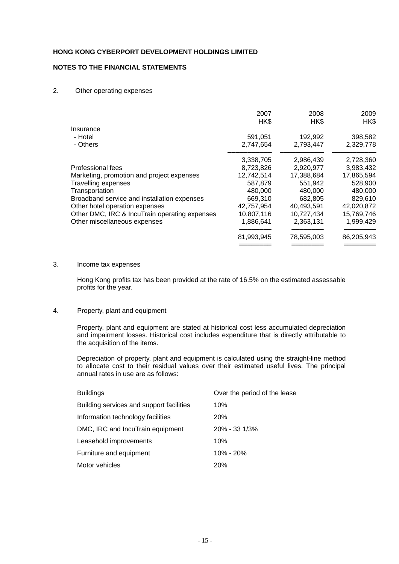### **NOTES TO THE FINANCIAL STATEMENTS**

#### 2. Other operating expenses

|                                               | 2007<br>HK\$ | 2008<br>HK\$ | 2009<br>HK\$ |
|-----------------------------------------------|--------------|--------------|--------------|
| Insurance                                     |              |              |              |
| - Hotel                                       | 591,051      | 192,992      | 398,582      |
| - Others                                      | 2,747,654    | 2,793,447    | 2,329,778    |
|                                               | 3,338,705    | 2,986,439    | 2,728,360    |
| Professional fees                             | 8,723,826    | 2,920,977    | 3,983,432    |
| Marketing, promotion and project expenses     | 12,742,514   | 17,388,684   | 17,865,594   |
| <b>Travelling expenses</b>                    | 587.879      | 551.942      | 528,900      |
| Transportation                                | 480,000      | 480,000      | 480,000      |
| Broadband service and installation expenses   | 669,310      | 682.805      | 829,610      |
| Other hotel operation expenses                | 42.757.954   | 40.493.591   | 42,020,872   |
| Other DMC, IRC & IncuTrain operating expenses | 10,807,116   | 10,727,434   | 15,769,746   |
| Other miscellaneous expenses                  | 1,886,641    | 2,363,131    | 1,999,429    |
|                                               |              |              |              |
|                                               | 81,993,945   | 78,595,003   | 86,205,943   |
|                                               |              |              |              |

#### 3. Income tax expenses

Hong Kong profits tax has been provided at the rate of 16.5% on the estimated assessable profits for the year.

#### 4. Property, plant and equipment

Property, plant and equipment are stated at historical cost less accumulated depreciation and impairment losses. Historical cost includes expenditure that is directly attributable to the acquisition of the items.

 Depreciation of property, plant and equipment is calculated using the straight-line method to allocate cost to their residual values over their estimated useful lives. The principal annual rates in use are as follows:

| <b>Buildings</b>                         | Over the period of the lease |
|------------------------------------------|------------------------------|
| Building services and support facilities | 10%                          |
| Information technology facilities        | <b>20%</b>                   |
| DMC, IRC and IncuTrain equipment         | $20\% - 33\frac{1}{3}\%$     |
| Leasehold improvements                   | 10%                          |
| Furniture and equipment                  | $10\% - 20\%$                |
| Motor vehicles                           | <b>20%</b>                   |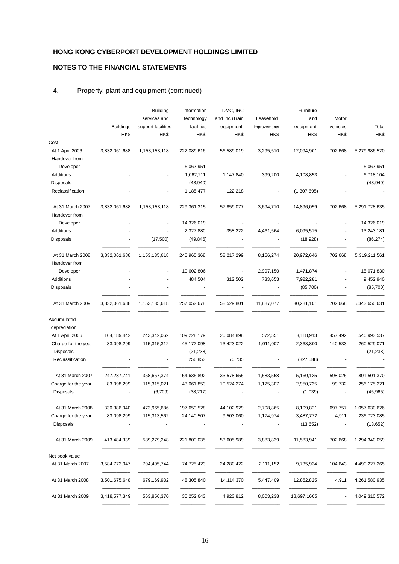### **NOTES TO THE FINANCIAL STATEMENTS**

### 4. Property, plant and equipment (continued)

|                     |                  | <b>Building</b>    | Information | DMC, IRC      |              | Furniture   |          |               |
|---------------------|------------------|--------------------|-------------|---------------|--------------|-------------|----------|---------------|
|                     |                  | services and       | technology  | and IncuTrain | Leasehold    | and         | Motor    |               |
|                     | <b>Buildings</b> | support facilities | facilities  | equipment     | improvements | equipment   | vehicles | Total         |
|                     | HK\$             | HK\$               | HK\$        | HK\$          | HK\$         | HK\$        | HK\$     | HK\$          |
| Cost                |                  |                    |             |               |              |             |          |               |
| At 1 April 2006     | 3,832,061,688    | 1,153,153,118      | 222,089,616 | 56,589,019    | 3,295,510    | 12,094,901  | 702,668  | 5,279,986,520 |
| Handover from       |                  |                    |             |               |              |             |          |               |
| Developer           |                  |                    | 5,067,951   |               |              |             |          | 5,067,951     |
| Additions           |                  |                    | 1,062,211   | 1,147,840     | 399,200      | 4,108,853   |          | 6,718,104     |
| Disposals           |                  |                    | (43, 940)   |               |              |             |          | (43,940)      |
| Reclassification    |                  |                    | 1,185,477   | 122,218       |              | (1,307,695) |          |               |
| At 31 March 2007    | 3,832,061,688    | 1,153,153,118      | 229,361,315 | 57,859,077    | 3,694,710    | 14,896,059  | 702,668  | 5,291,728,635 |
| Handover from       |                  |                    |             |               |              |             |          |               |
| Developer           |                  |                    | 14,326,019  |               |              |             |          | 14,326,019    |
| Additions           |                  |                    | 2,327,880   | 358,222       | 4,461,564    | 6,095,515   |          | 13,243,181    |
| Disposals           |                  | (17,500)           | (49, 846)   |               |              | (18, 928)   |          | (86, 274)     |
| At 31 March 2008    | 3,832,061,688    | 1,153,135,618      | 245,965,368 | 58,217,299    | 8,156,274    | 20,972,646  | 702,668  | 5,319,211,561 |
| Handover from       |                  |                    |             |               |              |             |          |               |
| Developer           |                  |                    | 10,602,806  |               | 2,997,150    | 1,471,874   |          | 15,071,830    |
| Additions           |                  |                    | 484,504     | 312,502       | 733,653      | 7,922,281   |          | 9,452,940     |
| Disposals           |                  |                    |             |               |              | (85,700)    |          | (85,700)      |
| At 31 March 2009    | 3,832,061,688    | 1,153,135,618      | 257,052,678 | 58,529,801    | 11,887,077   | 30,281,101  | 702,668  | 5,343,650,631 |
| Accumulated         |                  |                    |             |               |              |             |          |               |
| depreciation        |                  |                    |             |               |              |             |          |               |
| At 1 April 2006     | 164,189,442      | 243,342,062        | 109,228,179 | 20,084,898    | 572,551      | 3,118,913   | 457,492  | 540,993,537   |
| Charge for the year | 83,098,299       | 115,315,312        | 45,172,098  | 13,423,022    | 1,011,007    | 2,368,800   | 140,533  | 260,529,071   |
| <b>Disposals</b>    |                  |                    | (21, 238)   |               |              |             |          | (21, 238)     |
| Reclassification    |                  |                    | 256,853     | 70,735        |              | (327, 588)  |          |               |
| At 31 March 2007    | 247,287,741      | 358,657,374        | 154,635,892 | 33,578,655    | 1,583,558    | 5,160,125   | 598,025  | 801,501,370   |
| Charge for the year | 83,098,299       | 115,315,021        | 43,061,853  | 10,524,274    | 1,125,307    | 2,950,735   | 99,732   | 256,175,221   |
| <b>Disposals</b>    |                  | (6,709)            | (38, 217)   |               |              | (1,039)     |          | (45, 965)     |
| At 31 March 2008    | 330,386,040      | 473,965,686        | 197,659,528 | 44,102,929    | 2,708,865    | 8,109,821   | 697,757  | 1,057,630,626 |
| Charge for the year | 83,098,299       | 115,313,562        | 24,140,507  | 9,503,060     | 1,174,974    | 3,487,772   | 4,911    | 236,723,085   |
| Disposals           |                  |                    |             |               |              | (13,652)    |          | (13, 652)     |
| At 31 March 2009    | 413,484,339      | 589,279,248        | 221,800,035 | 53,605,989    | 3,883,839    | 11,583,941  | 702,668  | 1,294,340,059 |
| Net book value      |                  |                    |             |               |              |             |          |               |
| At 31 March 2007    | 3,584,773,947    | 794,495,744        | 74,725,423  | 24,280,422    | 2,111,152    | 9,735,934   | 104,643  | 4,490,227,265 |
| At 31 March 2008    | 3,501,675,648    | 679,169,932        | 48,305,840  | 14,114,370    | 5,447,409    | 12,862,825  | 4,911    | 4,261,580,935 |
| At 31 March 2009    | 3,418,577,349    | 563,856,370        | 35,252,643  | 4,923,812     | 8,003,238    | 18,697,1605 |          | 4,049,310,572 |
|                     |                  |                    |             |               |              |             |          |               |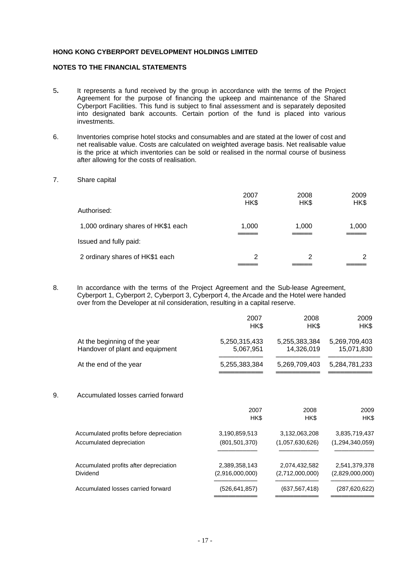### **NOTES TO THE FINANCIAL STATEMENTS**

- 5**.** It represents a fund received by the group in accordance with the terms of the Project Agreement for the purpose of financing the upkeep and maintenance of the Shared Cyberport Facilities. This fund is subject to final assessment and is separately deposited into designated bank accounts. Certain portion of the fund is placed into various investments.
- 6. Inventories comprise hotel stocks and consumables and are stated at the lower of cost and net realisable value. Costs are calculated on weighted average basis. Net realisable value is the price at which inventories can be sold or realised in the normal course of business after allowing for the costs of realisation.
- 7. Share capital

|                                     | 2007<br>HK\$ | 2008<br>HK\$ | 2009<br>HK\$ |
|-------------------------------------|--------------|--------------|--------------|
| Authorised:                         |              |              |              |
| 1,000 ordinary shares of HK\$1 each | 1,000        | 1,000        | 1,000        |
| Issued and fully paid:              |              |              |              |
| 2 ordinary shares of HK\$1 each     | 2            | 2            | 2            |

8. In accordance with the terms of the Project Agreement and the Sub-lease Agreement, Cyberport 1, Cyberport 2, Cyberport 3, Cyberport 4, the Arcade and the Hotel were handed over from the Developer at nil consideration, resulting in a capital reserve.

|                                                                 | 2007<br>HK\$               | 2008<br>HK\$                | 2009<br>HK\$                |
|-----------------------------------------------------------------|----------------------------|-----------------------------|-----------------------------|
| At the beginning of the year<br>Handover of plant and equipment | 5,250,315,433<br>5,067,951 | 5,255,383,384<br>14,326,019 | 5,269,709,403<br>15,071,830 |
| At the end of the year                                          | 5,255,383,384              | 5,269,709,403               | 5,284,781,233               |
| Accumulated losses carried forward                              |                            |                             |                             |
|                                                                 | 2007<br>HK\$               | 2008<br>HK\$                | 2009<br>HK\$                |
| Accumulated profits before depreciation                         |                            | 3,132,063,208               | 3,835,719,437               |
| Accumulated depreciation                                        | (801, 501, 370)            | (1,057,630,626)             | (1,294,340,059)             |
| Accumulated profits after depreciation                          | 2,389,358,143              | 2,074,432,582               | 2,541,379,378               |
| Dividend                                                        | (2,916,000,000)            | (2,712,000,000)             | (2,829,000,000)             |
| Accumulated losses carried forward                              | (526, 641, 857)            | (637, 567, 418)             | (287, 620, 622)             |
|                                                                 |                            | 3,190,859,513               |                             |